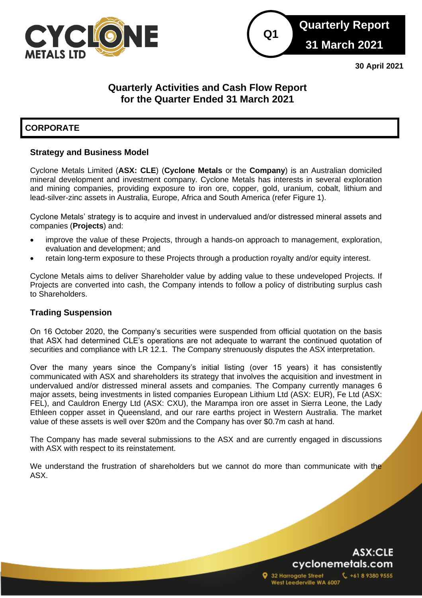



**30 April 2021**

# **Quarterly Activities and Cash Flow Report for the Quarter Ended 31 March 2021**

# **CORPORATE**

# **Strategy and Business Model**

Cyclone Metals Limited (**ASX: CLE**) (**Cyclone Metals** or the **Company**) is an Australian domiciled mineral development and investment company. Cyclone Metals has interests in several exploration and mining companies, providing exposure to iron ore, copper, gold, uranium, cobalt, lithium and lead-silver-zinc assets in Australia, Europe, Africa and South America (refer Figure 1).

Cyclone Metals' strategy is to acquire and invest in undervalued and/or distressed mineral assets and companies (**Projects**) and:

- improve the value of these Projects, through a hands-on approach to management, exploration, evaluation and development; and
- retain long-term exposure to these Projects through a production royalty and/or equity interest.

Cyclone Metals aims to deliver Shareholder value by adding value to these undeveloped Projects. If Projects are converted into cash, the Company intends to follow a policy of distributing surplus cash to Shareholders.

## **Trading Suspension**

On 16 October 2020, the Company's securities were suspended from official quotation on the basis that ASX had determined CLE's operations are not adequate to warrant the continued quotation of securities and compliance with LR 12.1. The Company strenuously disputes the ASX interpretation.

Over the many years since the Company's initial listing (over 15 years) it has consistently communicated with ASX and shareholders its strategy that involves the acquisition and investment in undervalued and/or distressed mineral assets and companies. The Company currently manages 6 major assets, being investments in listed companies European Lithium Ltd (ASX: EUR), Fe Ltd (ASX: FEL), and Cauldron Energy Ltd (ASX: CXU), the Marampa iron ore asset in Sierra Leone, the Lady Ethleen copper asset in Queensland, and our rare earths project in Western Australia. The market value of these assets is well over \$20m and the Company has over \$0.7m cash at hand.

The Company has made several submissions to the ASX and are currently engaged in discussions with ASX with respect to its reinstatement.

We understand the frustration of shareholders but we cannot do more than communicate with the ASX.

# ASX:CLE cyclonemetals.com

+61 8 9380 9555

32 Harrogate Street West Leederville WA 6007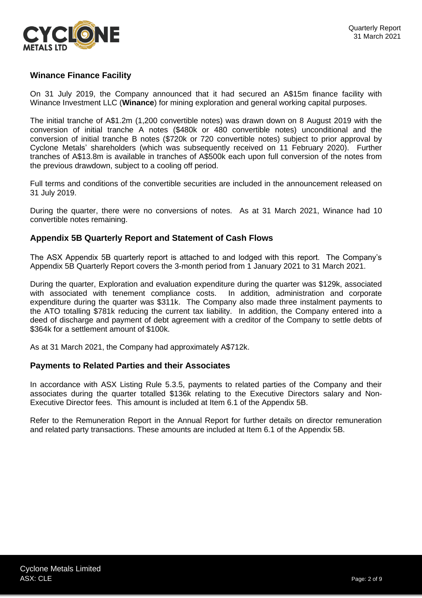

# **Winance Finance Facility**

On 31 July 2019, the Company announced that it had secured an A\$15m finance facility with Winance Investment LLC (**Winance**) for mining exploration and general working capital purposes.

The initial tranche of A\$1.2m (1,200 convertible notes) was drawn down on 8 August 2019 with the conversion of initial tranche A notes (\$480k or 480 convertible notes) unconditional and the conversion of initial tranche B notes (\$720k or 720 convertible notes) subject to prior approval by Cyclone Metals' shareholders (which was subsequently received on 11 February 2020). Further tranches of A\$13.8m is available in tranches of A\$500k each upon full conversion of the notes from the previous drawdown, subject to a cooling off period.

Full terms and conditions of the convertible securities are included in the announcement released on 31 July 2019.

During the quarter, there were no conversions of notes. As at 31 March 2021, Winance had 10 convertible notes remaining.

## **Appendix 5B Quarterly Report and Statement of Cash Flows**

The ASX Appendix 5B quarterly report is attached to and lodged with this report. The Company's Appendix 5B Quarterly Report covers the 3-month period from 1 January 2021 to 31 March 2021.

During the quarter, Exploration and evaluation expenditure during the quarter was \$129k, associated with associated with tenement compliance costs. In addition, administration and corporate expenditure during the quarter was \$311k. The Company also made three instalment payments to the ATO totalling \$781k reducing the current tax liability. In addition, the Company entered into a deed of discharge and payment of debt agreement with a creditor of the Company to settle debts of \$364k for a settlement amount of \$100k.

As at 31 March 2021, the Company had approximately A\$712k.

## **Payments to Related Parties and their Associates**

In accordance with ASX Listing Rule 5.3.5, payments to related parties of the Company and their associates during the quarter totalled \$136k relating to the Executive Directors salary and Non-Executive Director fees. This amount is included at Item 6.1 of the Appendix 5B.

Refer to the Remuneration Report in the Annual Report for further details on director remuneration and related party transactions. These amounts are included at Item 6.1 of the Appendix 5B.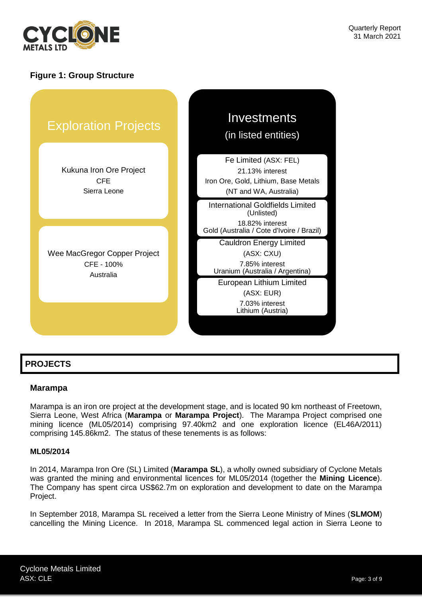

# **Figure 1: Group Structure**



# **PROJECTS**

## **Marampa**

Marampa is an iron ore project at the development stage, and is located 90 km northeast of Freetown, Sierra Leone, West Africa (**Marampa** or **Marampa Project**). The Marampa Project comprised one mining licence (ML05/2014) comprising 97.40km2 and one exploration licence (EL46A/2011) comprising 145.86km2. The status of these tenements is as follows:

#### **ML05/2014**

In 2014, Marampa Iron Ore (SL) Limited (**Marampa SL**), a wholly owned subsidiary of Cyclone Metals was granted the mining and environmental licences for ML05/2014 (together the **Mining Licence**). The Company has spent circa US\$62.7m on exploration and development to date on the Marampa Project.

In September 2018, Marampa SL received a letter from the Sierra Leone Ministry of Mines (**SLMOM**) cancelling the Mining Licence. In 2018, Marampa SL commenced legal action in Sierra Leone to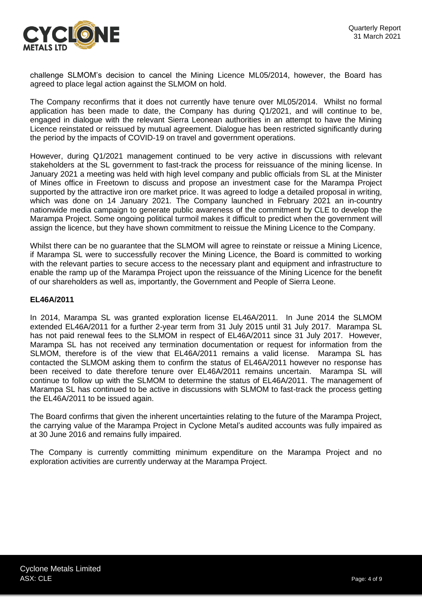

challenge SLMOM's decision to cancel the Mining Licence ML05/2014, however, the Board has agreed to place legal action against the SLMOM on hold.

The Company reconfirms that it does not currently have tenure over ML05/2014. Whilst no formal application has been made to date, the Company has during Q1/2021, and will continue to be, engaged in dialogue with the relevant Sierra Leonean authorities in an attempt to have the Mining Licence reinstated or reissued by mutual agreement. Dialogue has been restricted significantly during the period by the impacts of COVID-19 on travel and government operations.

However, during Q1/2021 management continued to be very active in discussions with relevant stakeholders at the SL government to fast-track the process for reissuance of the mining license. In January 2021 a meeting was held with high level company and public officials from SL at the Minister of Mines office in Freetown to discuss and propose an investment case for the Marampa Project supported by the attractive iron ore market price. It was agreed to lodge a detailed proposal in writing, which was done on 14 January 2021. The Company launched in February 2021 an in-country nationwide media campaign to generate public awareness of the commitment by CLE to develop the Marampa Project. Some ongoing political turmoil makes it difficult to predict when the government will assign the licence, but they have shown commitment to reissue the Mining Licence to the Company.

Whilst there can be no guarantee that the SLMOM will agree to reinstate or reissue a Mining Licence, if Marampa SL were to successfully recover the Mining Licence, the Board is committed to working with the relevant parties to secure access to the necessary plant and equipment and infrastructure to enable the ramp up of the Marampa Project upon the reissuance of the Mining Licence for the benefit of our shareholders as well as, importantly, the Government and People of Sierra Leone.

## **EL46A/2011**

In 2014, Marampa SL was granted exploration license EL46A/2011. In June 2014 the SLMOM extended EL46A/2011 for a further 2-year term from 31 July 2015 until 31 July 2017. Marampa SL has not paid renewal fees to the SLMOM in respect of EL46A/2011 since 31 July 2017. However, Marampa SL has not received any termination documentation or request for information from the SLMOM, therefore is of the view that EL46A/2011 remains a valid license. Marampa SL has contacted the SLMOM asking them to confirm the status of EL46A/2011 however no response has been received to date therefore tenure over EL46A/2011 remains uncertain. Marampa SL will continue to follow up with the SLMOM to determine the status of EL46A/2011. The management of Marampa SL has continued to be active in discussions with SLMOM to fast-track the process getting the EL46A/2011 to be issued again.

The Board confirms that given the inherent uncertainties relating to the future of the Marampa Project, the carrying value of the Marampa Project in Cyclone Metal's audited accounts was fully impaired as at 30 June 2016 and remains fully impaired.

The Company is currently committing minimum expenditure on the Marampa Project and no exploration activities are currently underway at the Marampa Project.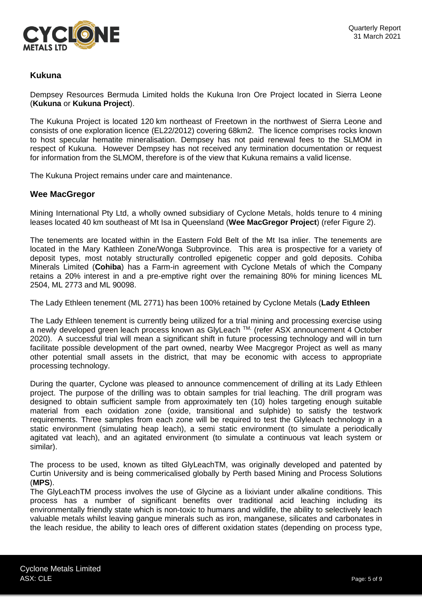

# **Kukuna**

Dempsey Resources Bermuda Limited holds the Kukuna Iron Ore Project located in Sierra Leone (**Kukuna** or **Kukuna Project**).

The Kukuna Project is located 120 km northeast of Freetown in the northwest of Sierra Leone and consists of one exploration licence (EL22/2012) covering 68km2. The licence comprises rocks known to host specular hematite mineralisation. Dempsey has not paid renewal fees to the SLMOM in respect of Kukuna. However Dempsey has not received any termination documentation or request for information from the SLMOM, therefore is of the view that Kukuna remains a valid license.

The Kukuna Project remains under care and maintenance.

## **Wee MacGregor**

Mining International Pty Ltd, a wholly owned subsidiary of Cyclone Metals, holds tenure to 4 mining leases located 40 km southeast of Mt Isa in Queensland (**Wee MacGregor Project**) (refer Figure 2).

The tenements are located within in the Eastern Fold Belt of the Mt Isa inlier. The tenements are located in the Mary Kathleen Zone/Wonga Subprovince. This area is prospective for a variety of deposit types, most notably structurally controlled epigenetic copper and gold deposits. Cohiba Minerals Limited (**Cohiba**) has a Farm-in agreement with Cyclone Metals of which the Company retains a 20% interest in and a pre-emptive right over the remaining 80% for mining licences ML 2504, ML 2773 and ML 90098.

The Lady Ethleen tenement (ML 2771) has been 100% retained by Cyclone Metals (**Lady Ethleen**

The Lady Ethleen tenement is currently being utilized for a trial mining and processing exercise using a newly developed green leach process known as GlyLeach ™ (refer ASX announcement 4 October 2020). A successful trial will mean a significant shift in future processing technology and will in turn facilitate possible development of the part owned, nearby Wee Macgregor Project as well as many other potential small assets in the district, that may be economic with access to appropriate processing technology.

During the quarter, Cyclone was pleased to announce commencement of drilling at its Lady Ethleen project. The purpose of the drilling was to obtain samples for trial leaching. The drill program was designed to obtain sufficient sample from approximately ten (10) holes targeting enough suitable material from each oxidation zone (oxide, transitional and sulphide) to satisfy the testwork requirements. Three samples from each zone will be required to test the Glyleach technology in a static environment (simulating heap leach), a semi static environment (to simulate a periodically agitated vat leach), and an agitated environment (to simulate a continuous vat leach system or similar).

The process to be used, known as tilted GlyLeachTM, was originally developed and patented by Curtin University and is being commericalised globally by Perth based Mining and Process Solutions (**MPS**).

The GlyLeachTM process involves the use of Glycine as a lixiviant under alkaline conditions. This process has a number of significant benefits over traditional acid leaching including its environmentally friendly state which is non-toxic to humans and wildlife, the ability to selectively leach valuable metals whilst leaving gangue minerals such as iron, manganese, silicates and carbonates in the leach residue, the ability to leach ores of different oxidation states (depending on process type,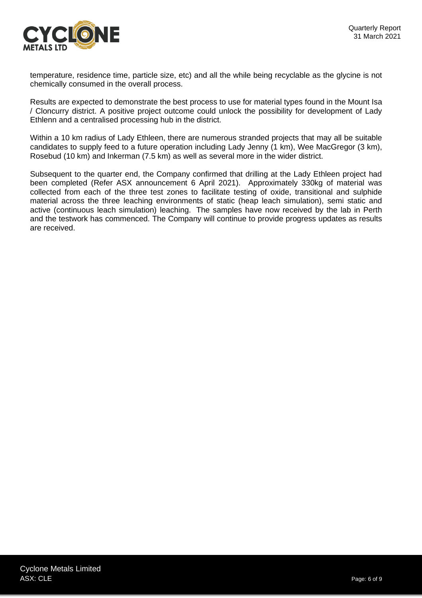

temperature, residence time, particle size, etc) and all the while being recyclable as the glycine is not chemically consumed in the overall process.

Results are expected to demonstrate the best process to use for material types found in the Mount Isa / Cloncurry district. A positive project outcome could unlock the possibility for development of Lady Ethlenn and a centralised processing hub in the district.

Within a 10 km radius of Lady Ethleen, there are numerous stranded projects that may all be suitable candidates to supply feed to a future operation including Lady Jenny (1 km), Wee MacGregor (3 km), Rosebud (10 km) and Inkerman (7.5 km) as well as several more in the wider district.

Subsequent to the quarter end, the Company confirmed that drilling at the Lady Ethleen project had been completed (Refer ASX announcement 6 April 2021). Approximately 330kg of material was collected from each of the three test zones to facilitate testing of oxide, transitional and sulphide material across the three leaching environments of static (heap leach simulation), semi static and active (continuous leach simulation) leaching. The samples have now received by the lab in Perth and the testwork has commenced. The Company will continue to provide progress updates as results are received.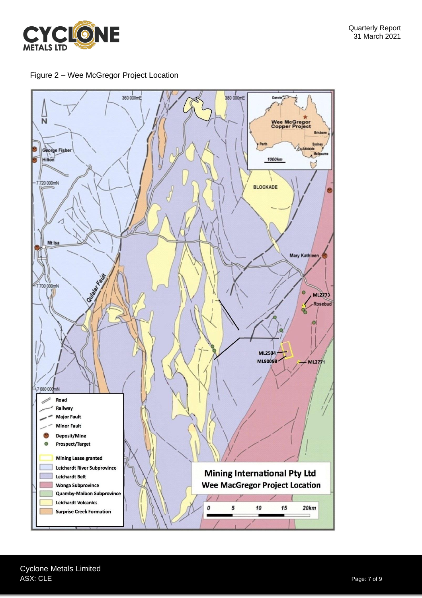

Figure 2 – Wee McGregor Project Location

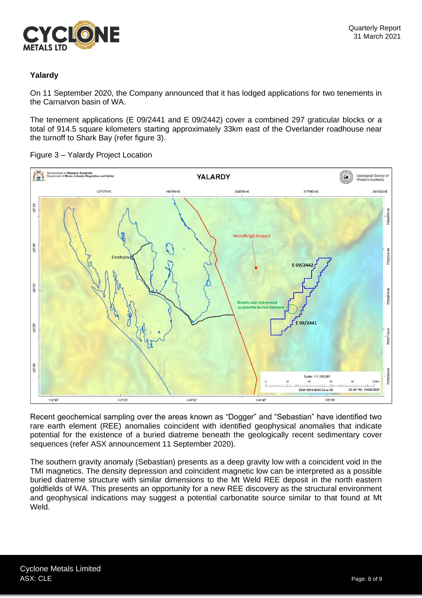

# **Yalardy**

On 11 September 2020, the Company announced that it has lodged applications for two tenements in the Carnarvon basin of WA.

The tenement applications (E 09/2441 and E 09/2442) cover a combined 297 graticular blocks or a total of 914.5 square kilometers starting approximately 33km east of the Overlander roadhouse near the turnoff to Shark Bay (refer figure 3).

iment of <mark>Western Australia</mark><br>nent of <mark>Mines, Industry Regula</mark>l YALARDY Geological Survey of<br>Western Australia  $\alpha$ 127177mE 254354mE 317943mE 381532mB  $25°29'$ 7166975 **Woodleigh Impact**  $-25^{\circ}49'$ Denha 13022 E09/2442  $-26^{\circ}09'$ 093467mN  $12001$  $-26°29'$ 7056713mN  $-26°49'$ Scale: 1:1,155,581 02:36 PM, 10/09/2020 GDA 1994 MGA Zone 50 112°45 113°23 114°02 114°40' 115°19

Figure 3 – Yalardy Project Location

Recent geochemical sampling over the areas known as "Dogger" and "Sebastian" have identified two rare earth element (REE) anomalies coincident with identified geophysical anomalies that indicate potential for the existence of a buried diatreme beneath the geologically recent sedimentary cover sequences (refer ASX announcement 11 September 2020).

The southern gravity anomaly (Sebastian) presents as a deep gravity low with a coincident void in the TMI magnetics. The density depression and coincident magnetic low can be interpreted as a possible buried diatreme structure with similar dimensions to the Mt Weld REE deposit in the north eastern goldfields of WA. This presents an opportunity for a new REE discovery as the structural environment and geophysical indications may suggest a potential carbonatite source similar to that found at Mt Weld.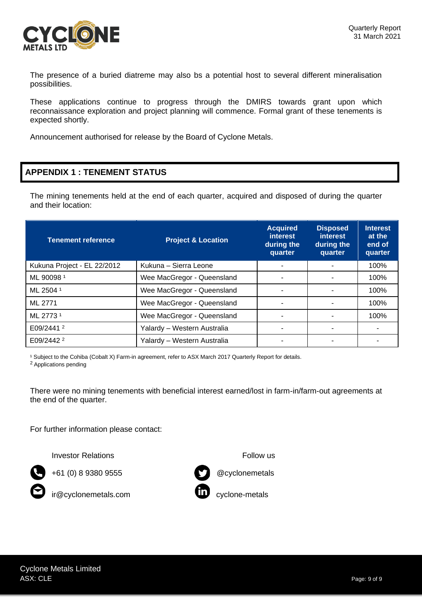

The presence of a buried diatreme may also bs a potential host to several different mineralisation possibilities.

These applications continue to progress through the DMIRS towards grant upon which reconnaissance exploration and project planning will commence. Formal grant of these tenements is expected shortly.

Announcement authorised for release by the Board of Cyclone Metals.

# **APPENDIX 1 : TENEMENT STATUS**

The mining tenements held at the end of each quarter, acquired and disposed of during the quarter and their location:

| <b>Tenement reference</b>   | <b>Project &amp; Location</b> | <b>Acquired</b><br><i>interest</i><br>during the<br>quarter | <b>Disposed</b><br><i>interest</i><br>during the<br>quarter | <b>Interest</b><br>at the<br>end of<br>quarter |
|-----------------------------|-------------------------------|-------------------------------------------------------------|-------------------------------------------------------------|------------------------------------------------|
| Kukuna Project - EL 22/2012 | Kukuna - Sierra Leone         |                                                             |                                                             | 100%                                           |
| ML 900981                   | Wee MacGregor - Queensland    |                                                             |                                                             | 100%                                           |
| ML 2504 1                   | Wee MacGregor - Queensland    |                                                             |                                                             | 100%                                           |
| ML 2771                     | Wee MacGregor - Queensland    |                                                             |                                                             | 100%                                           |
| ML 2773 <sup>1</sup>        | Wee MacGregor - Queensland    |                                                             |                                                             | 100%                                           |
| E09/2441 $2$                | Yalardy - Western Australia   |                                                             | $\blacksquare$                                              | ۰                                              |
| E09/2442 <sup>2</sup>       | Yalardy – Western Australia   |                                                             |                                                             |                                                |

<sup>1</sup> Subject to the Cohiba (Cobalt X) Farm-in agreement, refer to ASX March 2017 Quarterly Report for details.

<sup>2</sup> Applications pending

There were no mining tenements with beneficial interest earned/lost in farm-in/farm-out agreements at the end of the quarter.

For further information please contact:

Investor Relations **Follow** us



+61 (0) 8 9380 9555 @cyclonemetals



ir@cyclonemetals.com **comedity** cyclone-metals

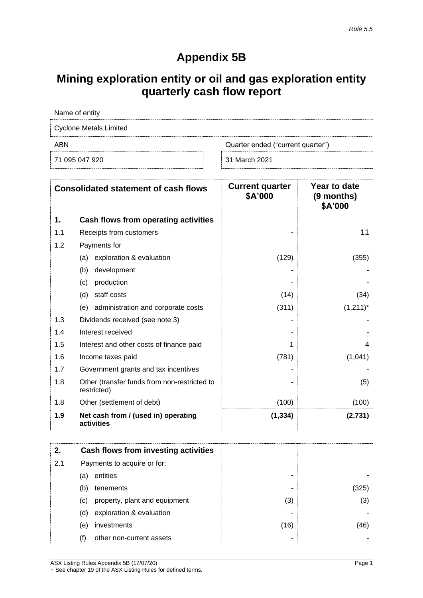# **Appendix 5B**

# **Mining exploration entity or oil and gas exploration entity quarterly cash flow report**

| Name of entity                |                                   |  |
|-------------------------------|-----------------------------------|--|
| <b>Cyclone Metals Limited</b> |                                   |  |
| ABN                           | Quarter ended ("current quarter") |  |
| 71 095 047 920                | 31 March 2021                     |  |

|     | <b>Consolidated statement of cash flows</b>                 | <b>Current quarter</b><br>\$A'000 | Year to date<br>(9 months)<br>\$A'000 |
|-----|-------------------------------------------------------------|-----------------------------------|---------------------------------------|
| 1.  | Cash flows from operating activities                        |                                   |                                       |
| 1.1 | Receipts from customers                                     |                                   | 11                                    |
| 1.2 | Payments for                                                |                                   |                                       |
|     | exploration & evaluation<br>(a)                             | (129)                             | (355)                                 |
|     | (b)<br>development                                          |                                   |                                       |
|     | production<br>(c)                                           |                                   |                                       |
|     | (d)<br>staff costs                                          | (14)                              | (34)                                  |
|     | administration and corporate costs<br>(e)                   | (311)                             | $(1,211)^*$                           |
| 1.3 | Dividends received (see note 3)                             |                                   |                                       |
| 1.4 | Interest received                                           |                                   |                                       |
| 1.5 | Interest and other costs of finance paid                    | 1                                 | 4                                     |
| 1.6 | Income taxes paid                                           | (781)                             | (1,041)                               |
| 1.7 | Government grants and tax incentives                        |                                   |                                       |
| 1.8 | Other (transfer funds from non-restricted to<br>restricted) |                                   | (5)                                   |
| 1.8 | Other (settlement of debt)                                  | (100)                             | (100)                                 |
| 1.9 | Net cash from / (used in) operating<br>activities           | (1, 334)                          | (2,731)                               |

|     |     | Cash flows from investing activities |      |      |
|-----|-----|--------------------------------------|------|------|
| 2.1 |     | Payments to acquire or for:          |      |      |
|     | (a) | entities                             | -    |      |
|     | (b) | tenements                            | ۰    | 325  |
|     | (c) | property, plant and equipment        | (3)  | (3)  |
|     | (d) | exploration & evaluation             | -    |      |
|     | (e) | investments                          | (16) | (46) |
|     | (f) | other non-current assets             | -    |      |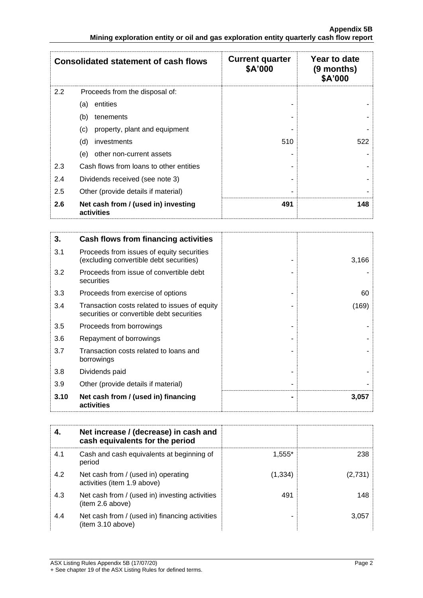|     | <b>Consolidated statement of cash flows</b>       | <b>Current quarter</b><br>\$A'000 | Year to date<br>$(9$ months)<br>\$A'000 |
|-----|---------------------------------------------------|-----------------------------------|-----------------------------------------|
| 2.2 | Proceeds from the disposal of:                    |                                   |                                         |
|     | entities<br>(a)                                   |                                   |                                         |
|     | (b)<br>tenements                                  |                                   |                                         |
|     | (c)<br>property, plant and equipment              |                                   |                                         |
|     | (d)<br>investments                                | 510                               | 522                                     |
|     | (e)<br>other non-current assets                   |                                   |                                         |
| 2.3 | Cash flows from loans to other entities           |                                   |                                         |
| 2.4 | Dividends received (see note 3)                   |                                   |                                         |
| 2.5 | Other (provide details if material)               |                                   |                                         |
| 2.6 | Net cash from / (used in) investing<br>activities | 491                               | 148                                     |

| 3.   | Cash flows from financing activities                                                       |       |
|------|--------------------------------------------------------------------------------------------|-------|
| 3.1  | Proceeds from issues of equity securities<br>(excluding convertible debt securities)       | 3,166 |
| 3.2  | Proceeds from issue of convertible debt<br>securities                                      |       |
| 3.3  | Proceeds from exercise of options                                                          | 60    |
| 3.4  | Transaction costs related to issues of equity<br>securities or convertible debt securities | (169) |
| 3.5  | Proceeds from borrowings                                                                   |       |
| 3.6  | Repayment of borrowings                                                                    |       |
| 3.7  | Transaction costs related to loans and<br>borrowings                                       |       |
| 3.8  | Dividends paid                                                                             |       |
| 3.9  | Other (provide details if material)                                                        |       |
| 3.10 | Net cash from / (used in) financing<br>activities                                          | 3,057 |

|     | Net increase / (decrease) in cash and<br>cash equivalents for the period |          |         |
|-----|--------------------------------------------------------------------------|----------|---------|
| 4.1 | Cash and cash equivalents at beginning of<br>period                      | $1.555*$ | 238     |
| 4.2 | Net cash from / (used in) operating<br>activities (item 1.9 above)       | (1, 334) | (2,731) |
| 4.3 | Net cash from / (used in) investing activities<br>(item 2.6 above)       | 491      | 148     |
| 4.4 | Net cash from / (used in) financing activities<br>item 3.10 above)       |          | 3.057   |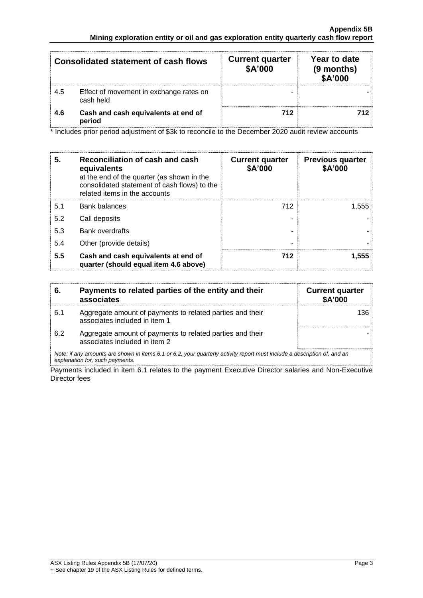|     | <b>Consolidated statement of cash flows</b>          | <b>Current quarter</b><br>\$A'000 | Year to date<br>(9 months)<br>\$A'000 |
|-----|------------------------------------------------------|-----------------------------------|---------------------------------------|
| 4.5 | Effect of movement in exchange rates on<br>cash held |                                   |                                       |
| 4.6 | Cash and cash equivalents at end of<br>period        | 712                               |                                       |

\* Includes prior period adjustment of \$3k to reconcile to the December 2020 audit review accounts

| 5.  | Reconciliation of cash and cash<br>equivalents<br>at the end of the quarter (as shown in the<br>consolidated statement of cash flows) to the<br>related items in the accounts | <b>Current quarter</b><br>\$A'000 | <b>Previous quarter</b><br>\$A'000 |
|-----|-------------------------------------------------------------------------------------------------------------------------------------------------------------------------------|-----------------------------------|------------------------------------|
| 5.1 | <b>Bank balances</b>                                                                                                                                                          | 712                               | 1,555                              |
| 5.2 | Call deposits                                                                                                                                                                 |                                   |                                    |
| 5.3 | Bank overdrafts                                                                                                                                                               |                                   |                                    |
| 5.4 | Other (provide details)                                                                                                                                                       | -                                 |                                    |
| 5.5 | Cash and cash equivalents at end of<br>quarter (should equal item 4.6 above)                                                                                                  | 712                               | 1,555                              |

| -6. | Payments to related parties of the entity and their<br>associates                                                        | <b>Current quarter</b><br><b>\$A'000</b> |
|-----|--------------------------------------------------------------------------------------------------------------------------|------------------------------------------|
| 6.1 | Aggregate amount of payments to related parties and their<br>associates included in item 1                               | 136                                      |
| 6.2 | Aggregate amount of payments to related parties and their<br>associates included in item 2                               |                                          |
|     | Note: if any amounts are shown in items 6.1 or 6.2, your quarterly activity report must include a description of, and an |                                          |

*explanation for, such payments.*

Payments included in item 6.1 relates to the payment Executive Director salaries and Non-Executive Director fees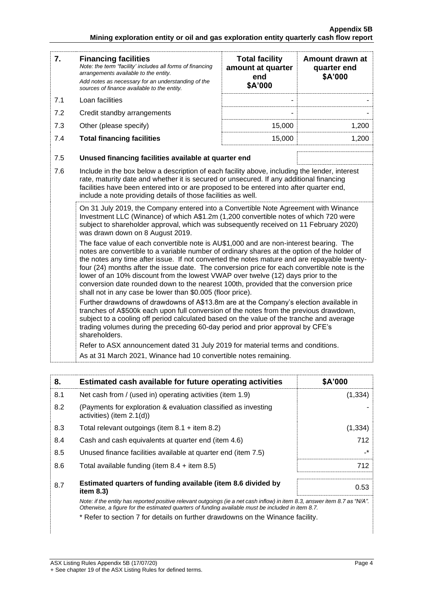| 7.  | <b>Financing facilities</b><br>Note: the term "facility' includes all forms of financing<br>arrangements available to the entity.<br>Add notes as necessary for an understanding of the<br>sources of finance available to the entity.                                                                                                                                                                                                                                                                                                                                                                                                                                                                                                                                                                                                                                                                                                                                                                                                                                                                                                                                                                                                                                                                                                                                                                                                                                                                                                                                                                                                                                                                                                                                    | <b>Total facility</b><br>amount at quarter<br>end<br>\$A'000 | Amount drawn at<br>quarter end<br>\$A'000 |
|-----|---------------------------------------------------------------------------------------------------------------------------------------------------------------------------------------------------------------------------------------------------------------------------------------------------------------------------------------------------------------------------------------------------------------------------------------------------------------------------------------------------------------------------------------------------------------------------------------------------------------------------------------------------------------------------------------------------------------------------------------------------------------------------------------------------------------------------------------------------------------------------------------------------------------------------------------------------------------------------------------------------------------------------------------------------------------------------------------------------------------------------------------------------------------------------------------------------------------------------------------------------------------------------------------------------------------------------------------------------------------------------------------------------------------------------------------------------------------------------------------------------------------------------------------------------------------------------------------------------------------------------------------------------------------------------------------------------------------------------------------------------------------------------|--------------------------------------------------------------|-------------------------------------------|
| 7.1 | Loan facilities                                                                                                                                                                                                                                                                                                                                                                                                                                                                                                                                                                                                                                                                                                                                                                                                                                                                                                                                                                                                                                                                                                                                                                                                                                                                                                                                                                                                                                                                                                                                                                                                                                                                                                                                                           |                                                              |                                           |
| 7.2 | Credit standby arrangements                                                                                                                                                                                                                                                                                                                                                                                                                                                                                                                                                                                                                                                                                                                                                                                                                                                                                                                                                                                                                                                                                                                                                                                                                                                                                                                                                                                                                                                                                                                                                                                                                                                                                                                                               |                                                              |                                           |
| 7.3 | Other (please specify)                                                                                                                                                                                                                                                                                                                                                                                                                                                                                                                                                                                                                                                                                                                                                                                                                                                                                                                                                                                                                                                                                                                                                                                                                                                                                                                                                                                                                                                                                                                                                                                                                                                                                                                                                    | 15,000                                                       | 1,200                                     |
| 7.4 | <b>Total financing facilities</b>                                                                                                                                                                                                                                                                                                                                                                                                                                                                                                                                                                                                                                                                                                                                                                                                                                                                                                                                                                                                                                                                                                                                                                                                                                                                                                                                                                                                                                                                                                                                                                                                                                                                                                                                         | 15,000                                                       | 1,200                                     |
| 7.5 | Unused financing facilities available at quarter end                                                                                                                                                                                                                                                                                                                                                                                                                                                                                                                                                                                                                                                                                                                                                                                                                                                                                                                                                                                                                                                                                                                                                                                                                                                                                                                                                                                                                                                                                                                                                                                                                                                                                                                      |                                                              |                                           |
| 7.6 | Include in the box below a description of each facility above, including the lender, interest<br>rate, maturity date and whether it is secured or unsecured. If any additional financing<br>facilities have been entered into or are proposed to be entered into after quarter end,<br>include a note providing details of those facilities as well.<br>On 31 July 2019, the Company entered into a Convertible Note Agreement with Winance<br>Investment LLC (Winance) of which A\$1.2m (1,200 convertible notes of which 720 were<br>subject to shareholder approval, which was subsequently received on 11 February 2020)<br>was drawn down on 8 August 2019.<br>The face value of each convertible note is AU\$1,000 and are non-interest bearing. The<br>notes are convertible to a variable number of ordinary shares at the option of the holder of<br>the notes any time after issue. If not converted the notes mature and are repayable twenty-<br>four (24) months after the issue date. The conversion price for each convertible note is the<br>lower of an 10% discount from the lowest VWAP over twelve (12) days prior to the<br>conversion date rounded down to the nearest 100th, provided that the conversion price<br>shall not in any case be lower than \$0.005 (floor price).<br>Further drawdowns of drawdowns of A\$13.8m are at the Company's election available in<br>tranches of A\$500k each upon full conversion of the notes from the previous drawdown,<br>subject to a cooling off period calculated based on the value of the tranche and average<br>trading volumes during the preceding 60-day period and prior approval by CFE's<br>shareholders.<br>Refer to ASX announcement dated 31 July 2019 for material terms and conditions. |                                                              |                                           |
|     |                                                                                                                                                                                                                                                                                                                                                                                                                                                                                                                                                                                                                                                                                                                                                                                                                                                                                                                                                                                                                                                                                                                                                                                                                                                                                                                                                                                                                                                                                                                                                                                                                                                                                                                                                                           |                                                              |                                           |

| 8.  | Estimated cash available for future operating activities                                                                                                                                                                        | \$A'000      |
|-----|---------------------------------------------------------------------------------------------------------------------------------------------------------------------------------------------------------------------------------|--------------|
| 8.1 | Net cash from / (used in) operating activities (item 1.9)                                                                                                                                                                       | (1, 334)     |
| 8.2 | (Payments for exploration & evaluation classified as investing<br>activities) (item $2.1(d)$ )                                                                                                                                  |              |
| 8.3 | Total relevant outgoings (item $8.1 +$ item $8.2$ )                                                                                                                                                                             | (1, 334)     |
| 8.4 | Cash and cash equivalents at quarter end (item 4.6)                                                                                                                                                                             | 712          |
| 8.5 | Unused finance facilities available at quarter end (item 7.5)                                                                                                                                                                   | $\mathbf{r}$ |
| 8.6 | Total available funding (item $8.4 +$ item $8.5$ )                                                                                                                                                                              | 712          |
| 8.7 | Estimated quarters of funding available (item 8.6 divided by<br>item $8.3$ )                                                                                                                                                    | 0.53         |
|     | Note: if the entity has reported positive relevant outgoings (ie a net cash inflow) in item 8.3, answer item 8.7 as "N/A".<br>Otherwise, a figure for the estimated quarters of funding available must be included in item 8.7. |              |

\* Refer to section 7 for details on further drawdowns on the Winance facility.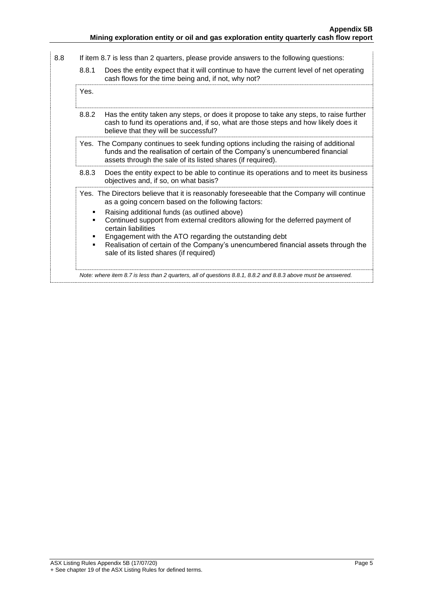| 8.8 | If item 8.7 is less than 2 quarters, please provide answers to the following questions:                       |                                                                                                                                                                                                                                                                                                                                                                                                                                                                                                      |
|-----|---------------------------------------------------------------------------------------------------------------|------------------------------------------------------------------------------------------------------------------------------------------------------------------------------------------------------------------------------------------------------------------------------------------------------------------------------------------------------------------------------------------------------------------------------------------------------------------------------------------------------|
|     | 8.8.1                                                                                                         | Does the entity expect that it will continue to have the current level of net operating<br>cash flows for the time being and, if not, why not?                                                                                                                                                                                                                                                                                                                                                       |
|     | Yes.                                                                                                          |                                                                                                                                                                                                                                                                                                                                                                                                                                                                                                      |
|     | 8.8.2                                                                                                         | Has the entity taken any steps, or does it propose to take any steps, to raise further<br>cash to fund its operations and, if so, what are those steps and how likely does it<br>believe that they will be successful?                                                                                                                                                                                                                                                                               |
|     |                                                                                                               | Yes. The Company continues to seek funding options including the raising of additional<br>funds and the realisation of certain of the Company's unencumbered financial<br>assets through the sale of its listed shares (if required).                                                                                                                                                                                                                                                                |
|     | 8.8.3                                                                                                         | Does the entity expect to be able to continue its operations and to meet its business<br>objectives and, if so, on what basis?                                                                                                                                                                                                                                                                                                                                                                       |
|     | $\blacksquare$<br>٠                                                                                           | Yes. The Directors believe that it is reasonably foreseeable that the Company will continue<br>as a going concern based on the following factors:<br>Raising additional funds (as outlined above)<br>Continued support from external creditors allowing for the deferred payment of<br>certain liabilities<br>Engagement with the ATO regarding the outstanding debt<br>Realisation of certain of the Company's unencumbered financial assets through the<br>sale of its listed shares (if required) |
|     | Note: where item 8.7 is less than 2 quarters, all of questions 8.8.1, 8.8.2 and 8.8.3 above must be answered. |                                                                                                                                                                                                                                                                                                                                                                                                                                                                                                      |